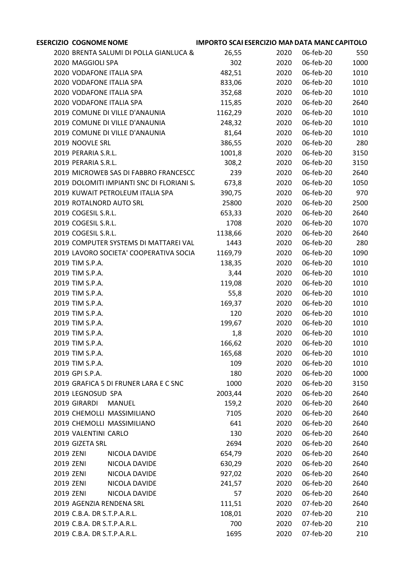|           | <b>ESERCIZIO COGNOME NOME</b>             | <b>IMPORTO SCAI ESERCIZIO MAN DATA MANE CAPITOLO</b> |      |           |      |
|-----------|-------------------------------------------|------------------------------------------------------|------|-----------|------|
|           | 2020 BRENTA SALUMI DI POLLA GIANLUCA &    | 26,55                                                | 2020 | 06-feb-20 | 550  |
|           | 2020 MAGGIOLI SPA                         | 302                                                  | 2020 | 06-feb-20 | 1000 |
|           | 2020 VODAFONE ITALIA SPA                  | 482,51                                               | 2020 | 06-feb-20 | 1010 |
|           | 2020 VODAFONE ITALIA SPA                  | 833,06                                               | 2020 | 06-feb-20 | 1010 |
|           | 2020 VODAFONE ITALIA SPA                  | 352,68                                               | 2020 | 06-feb-20 | 1010 |
|           | 2020 VODAFONE ITALIA SPA                  | 115,85                                               | 2020 | 06-feb-20 | 2640 |
|           | 2019 COMUNE DI VILLE D'ANAUNIA            | 1162,29                                              | 2020 | 06-feb-20 | 1010 |
|           | 2019 COMUNE DI VILLE D'ANAUNIA            | 248,32                                               | 2020 | 06-feb-20 | 1010 |
|           | 2019 COMUNE DI VILLE D'ANAUNIA            | 81,64                                                | 2020 | 06-feb-20 | 1010 |
|           | 2019 NOOVLE SRL                           | 386,55                                               | 2020 | 06-feb-20 | 280  |
|           | 2019 PERARIA S.R.L.                       | 1001,8                                               | 2020 | 06-feb-20 | 3150 |
|           | 2019 PERARIA S.R.L.                       | 308,2                                                | 2020 | 06-feb-20 | 3150 |
|           | 2019 MICROWEB SAS DI FABBRO FRANCESCC     | 239                                                  | 2020 | 06-feb-20 | 2640 |
|           | 2019 DOLOMITI IMPIANTI SNC DI FLORIANI S/ | 673,8                                                | 2020 | 06-feb-20 | 1050 |
|           | 2019 KUWAIT PETROLEUM ITALIA SPA          | 390,75                                               | 2020 | 06-feb-20 | 970  |
|           | 2019 ROTALNORD AUTO SRL                   | 25800                                                | 2020 | 06-feb-20 | 2500 |
|           | 2019 COGESIL S.R.L.                       | 653,33                                               | 2020 | 06-feb-20 | 2640 |
|           | 2019 COGESIL S.R.L.                       | 1708                                                 | 2020 | 06-feb-20 | 1070 |
|           | 2019 COGESIL S.R.L.                       | 1138,66                                              | 2020 | 06-feb-20 | 2640 |
|           | 2019 COMPUTER SYSTEMS DI MATTAREI VAL     | 1443                                                 | 2020 | 06-feb-20 | 280  |
|           | 2019 LAVORO SOCIETA' COOPERATIVA SOCIA    | 1169,79                                              | 2020 | 06-feb-20 | 1090 |
|           | 2019 TIM S.P.A.                           | 138,35                                               | 2020 | 06-feb-20 | 1010 |
|           | 2019 TIM S.P.A.                           | 3,44                                                 | 2020 | 06-feb-20 | 1010 |
|           | 2019 TIM S.P.A.                           | 119,08                                               | 2020 | 06-feb-20 | 1010 |
|           | 2019 TIM S.P.A.                           | 55,8                                                 | 2020 | 06-feb-20 | 1010 |
|           | 2019 TIM S.P.A.                           | 169,37                                               | 2020 | 06-feb-20 | 1010 |
|           | 2019 TIM S.P.A.                           | 120                                                  | 2020 | 06-feb-20 | 1010 |
|           | 2019 TIM S.P.A.                           | 199,67                                               | 2020 | 06-feb-20 | 1010 |
|           | 2019 TIM S.P.A.                           | 1,8                                                  | 2020 | 06-feb-20 | 1010 |
|           | 2019 TIM S.P.A.                           |                                                      |      | 06-feb-20 | 1010 |
|           |                                           | 166,62                                               | 2020 | 06-feb-20 |      |
|           | 2019 TIM S.P.A.                           | 165,68                                               | 2020 |           | 1010 |
|           | 2019 TIM S.P.A.                           | 109                                                  | 2020 | 06-feb-20 | 1010 |
|           | 2019 GPI S.P.A.                           | 180                                                  | 2020 | 06-feb-20 | 1000 |
|           | 2019 GRAFICA 5 DI FRUNER LARA E C SNC     | 1000                                                 | 2020 | 06-feb-20 | 3150 |
|           | 2019 LEGNOSUD SPA                         | 2003,44                                              | 2020 | 06-feb-20 | 2640 |
|           | 2019 GIRARDI<br><b>MANUEL</b>             | 159,2                                                | 2020 | 06-feb-20 | 2640 |
|           | 2019 CHEMOLLI MASSIMILIANO                | 7105                                                 | 2020 | 06-feb-20 | 2640 |
|           | 2019 CHEMOLLI MASSIMILIANO                | 641                                                  | 2020 | 06-feb-20 | 2640 |
|           | 2019 VALENTINI CARLO                      | 130                                                  | 2020 | 06-feb-20 | 2640 |
|           | 2019 GIZETA SRL                           | 2694                                                 | 2020 | 06-feb-20 | 2640 |
| 2019 ZENI | NICOLA DAVIDE                             | 654,79                                               | 2020 | 06-feb-20 | 2640 |
| 2019 ZENI | NICOLA DAVIDE                             | 630,29                                               | 2020 | 06-feb-20 | 2640 |
| 2019 ZENI | NICOLA DAVIDE                             | 927,02                                               | 2020 | 06-feb-20 | 2640 |
| 2019 ZENI | NICOLA DAVIDE                             | 241,57                                               | 2020 | 06-feb-20 | 2640 |
| 2019 ZENI | NICOLA DAVIDE                             | 57                                                   | 2020 | 06-feb-20 | 2640 |
|           | 2019 AGENZIA RENDENA SRL                  | 111,51                                               | 2020 | 07-feb-20 | 2640 |
|           | 2019 C.B.A. DR S.T.P.A.R.L.               | 108,01                                               | 2020 | 07-feb-20 | 210  |
|           | 2019 C.B.A. DR S.T.P.A.R.L.               | 700                                                  | 2020 | 07-feb-20 | 210  |
|           | 2019 C.B.A. DR S.T.P.A.R.L.               | 1695                                                 | 2020 | 07-feb-20 | 210  |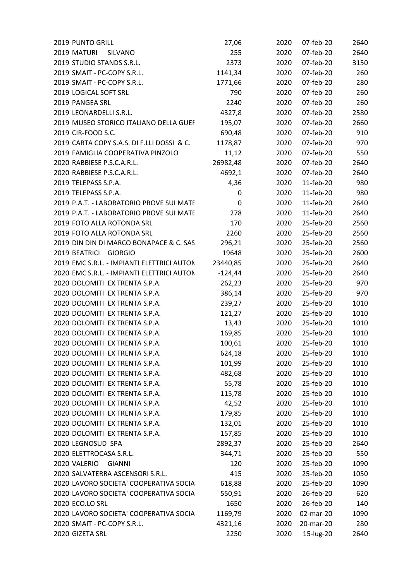| 2019 PUNTO GRILL                           | 27,06     | 2020 | 07-feb-20 | 2640 |
|--------------------------------------------|-----------|------|-----------|------|
| 2019 MATURI<br>SILVANO                     | 255       | 2020 | 07-feb-20 | 2640 |
| 2019 STUDIO STANDS S.R.L.                  | 2373      | 2020 | 07-feb-20 | 3150 |
| 2019 SMAIT - PC-COPY S.R.L.                | 1141,34   | 2020 | 07-feb-20 | 260  |
| 2019 SMAIT - PC-COPY S.R.L.                | 1771,66   | 2020 | 07-feb-20 | 280  |
| 2019 LOGICAL SOFT SRL                      | 790       | 2020 | 07-feb-20 | 260  |
| 2019 PANGEA SRL                            | 2240      | 2020 | 07-feb-20 | 260  |
| 2019 LEONARDELLI S.R.L.                    | 4327,8    | 2020 | 07-feb-20 | 2580 |
| 2019 MUSEO STORICO ITALIANO DELLA GUEF     | 195,07    | 2020 | 07-feb-20 | 2660 |
| 2019 CIR-FOOD S.C.                         | 690,48    | 2020 | 07-feb-20 | 910  |
| 2019 CARTA COPY S.A.S. DI F.LLI DOSSI & C. | 1178,87   | 2020 | 07-feb-20 | 970  |
| 2019 FAMIGLIA COOPERATIVA PINZOLO          | 11,12     | 2020 | 07-feb-20 | 550  |
| 2020 RABBIESE P.S.C.A.R.L.                 | 26982,48  | 2020 | 07-feb-20 | 2640 |
| 2020 RABBIESE P.S.C.A.R.L.                 | 4692,1    | 2020 | 07-feb-20 | 2640 |
| 2019 TELEPASS S.P.A.                       | 4,36      | 2020 | 11-feb-20 | 980  |
| 2019 TELEPASS S.P.A.                       | 0         | 2020 | 11-feb-20 | 980  |
| 2019 P.A.T. - LABORATORIO PROVE SUI MATE   | 0         | 2020 | 11-feb-20 | 2640 |
| 2019 P.A.T. - LABORATORIO PROVE SUI MATE   | 278       | 2020 | 11-feb-20 | 2640 |
| 2019 FOTO ALLA ROTONDA SRL                 | 170       | 2020 | 25-feb-20 | 2560 |
| 2019 FOTO ALLA ROTONDA SRL                 | 2260      | 2020 | 25-feb-20 | 2560 |
| 2019 DIN DIN DI MARCO BONAPACE & C. SAS    | 296,21    | 2020 | 25-feb-20 | 2560 |
| 2019 BEATRICI GIORGIO                      | 19648     | 2020 | 25-feb-20 | 2600 |
| 2019 EMC S.R.L. - IMPIANTI ELETTRICI AUTON | 23440,85  | 2020 | 25-feb-20 | 2640 |
| 2020 EMC S.R.L. - IMPIANTI ELETTRICI AUTON | $-124,44$ | 2020 | 25-feb-20 | 2640 |
| 2020 DOLOMITI EX TRENTA S.P.A.             | 262,23    | 2020 | 25-feb-20 | 970  |
| 2020 DOLOMITI EX TRENTA S.P.A.             | 386,14    | 2020 | 25-feb-20 | 970  |
| 2020 DOLOMITI EX TRENTA S.P.A.             | 239,27    | 2020 | 25-feb-20 | 1010 |
| 2020 DOLOMITI EX TRENTA S.P.A.             | 121,27    | 2020 | 25-feb-20 | 1010 |
| 2020 DOLOMITI EX TRENTA S.P.A.             | 13,43     | 2020 | 25-feb-20 | 1010 |
| 2020 DOLOMITI EX TRENTA S.P.A.             | 169,85    | 2020 | 25-feb-20 | 1010 |
| 2020 DOLOMITI EX TRENTA S.P.A.             | 100,61    | 2020 | 25-feb-20 | 1010 |
| 2020 DOLOMITI EX TRENTA S.P.A.             | 624,18    | 2020 | 25-feb-20 | 1010 |
| 2020 DOLOMITI EX TRENTA S.P.A.             | 101,99    | 2020 | 25-feb-20 | 1010 |
| 2020 DOLOMITI EX TRENTA S.P.A.             | 482,68    | 2020 | 25-feb-20 | 1010 |
| 2020 DOLOMITI EX TRENTA S.P.A.             | 55,78     | 2020 | 25-feb-20 | 1010 |
| 2020 DOLOMITI EX TRENTA S.P.A.             | 115,78    | 2020 | 25-feb-20 | 1010 |
| 2020 DOLOMITI EX TRENTA S.P.A.             | 42,52     | 2020 | 25-feb-20 | 1010 |
| 2020 DOLOMITI EX TRENTA S.P.A.             |           | 2020 | 25-feb-20 | 1010 |
|                                            | 179,85    |      |           |      |
| 2020 DOLOMITI EX TRENTA S.P.A.             | 132,01    | 2020 | 25-feb-20 | 1010 |
| 2020 DOLOMITI EX TRENTA S.P.A.             | 157,85    | 2020 | 25-feb-20 | 1010 |
| 2020 LEGNOSUD SPA                          | 2892,37   | 2020 | 25-feb-20 | 2640 |
| 2020 ELETTROCASA S.R.L.                    | 344,71    | 2020 | 25-feb-20 | 550  |
| 2020 VALERIO<br><b>GIANNI</b>              | 120       | 2020 | 25-feb-20 | 1090 |
| 2020 SALVATERRA ASCENSORI S.R.L.           | 415       | 2020 | 25-feb-20 | 1050 |
| 2020 LAVORO SOCIETA' COOPERATIVA SOCIA     | 618,88    | 2020 | 25-feb-20 | 1090 |
| 2020 LAVORO SOCIETA' COOPERATIVA SOCIA     | 550,91    | 2020 | 26-feb-20 | 620  |
| 2020 ECO.LO SRL                            | 1650      | 2020 | 26-feb-20 | 140  |
| 2020 LAVORO SOCIETA' COOPERATIVA SOCIA     | 1169,79   | 2020 | 02-mar-20 | 1090 |
| 2020 SMAIT - PC-COPY S.R.L.                | 4321,16   | 2020 | 20-mar-20 | 280  |
| 2020 GIZETA SRL                            | 2250      | 2020 | 15-lug-20 | 2640 |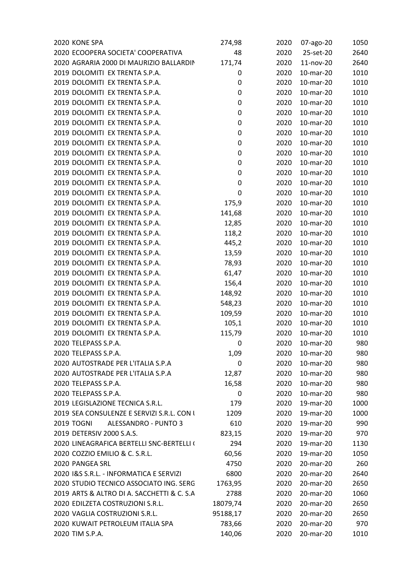| 2020 KONE SPA                              | 274,98   | 2020 | 07-ago-20 | 1050 |
|--------------------------------------------|----------|------|-----------|------|
| 2020 ECOOPERA SOCIETA' COOPERATIVA         | 48       | 2020 | 25-set-20 | 2640 |
| 2020 AGRARIA 2000 DI MAURIZIO BALLARDIN    | 171,74   | 2020 | 11-nov-20 | 2640 |
| 2019 DOLOMITI EX TRENTA S.P.A.             | 0        | 2020 | 10-mar-20 | 1010 |
| 2019 DOLOMITI EX TRENTA S.P.A.             | 0        | 2020 | 10-mar-20 | 1010 |
| 2019 DOLOMITI EX TRENTA S.P.A.             | 0        | 2020 | 10-mar-20 | 1010 |
| 2019 DOLOMITI EX TRENTA S.P.A.             | 0        | 2020 | 10-mar-20 | 1010 |
| 2019 DOLOMITI EX TRENTA S.P.A.             | 0        | 2020 | 10-mar-20 | 1010 |
| 2019 DOLOMITI EX TRENTA S.P.A.             | 0        | 2020 | 10-mar-20 | 1010 |
| 2019 DOLOMITI EX TRENTA S.P.A.             | 0        | 2020 | 10-mar-20 | 1010 |
| 2019 DOLOMITI EX TRENTA S.P.A.             | 0        | 2020 | 10-mar-20 | 1010 |
| 2019 DOLOMITI EX TRENTA S.P.A.             | 0        | 2020 | 10-mar-20 | 1010 |
| 2019 DOLOMITI EX TRENTA S.P.A.             | 0        | 2020 | 10-mar-20 | 1010 |
| 2019 DOLOMITI EX TRENTA S.P.A.             | 0        | 2020 | 10-mar-20 | 1010 |
| 2019 DOLOMITI EX TRENTA S.P.A.             | 0        | 2020 | 10-mar-20 | 1010 |
| 2019 DOLOMITI EX TRENTA S.P.A.             | 0        | 2020 | 10-mar-20 | 1010 |
| 2019 DOLOMITI EX TRENTA S.P.A.             | 175,9    | 2020 | 10-mar-20 | 1010 |
| 2019 DOLOMITI EX TRENTA S.P.A.             | 141,68   | 2020 | 10-mar-20 | 1010 |
| 2019 DOLOMITI EX TRENTA S.P.A.             | 12,85    | 2020 | 10-mar-20 | 1010 |
| 2019 DOLOMITI EX TRENTA S.P.A.             | 118,2    | 2020 | 10-mar-20 | 1010 |
| 2019 DOLOMITI EX TRENTA S.P.A.             | 445,2    | 2020 | 10-mar-20 | 1010 |
| 2019 DOLOMITI EX TRENTA S.P.A.             | 13,59    | 2020 | 10-mar-20 | 1010 |
| 2019 DOLOMITI EX TRENTA S.P.A.             | 78,93    | 2020 | 10-mar-20 | 1010 |
| 2019 DOLOMITI EX TRENTA S.P.A.             | 61,47    | 2020 | 10-mar-20 | 1010 |
| 2019 DOLOMITI EX TRENTA S.P.A.             | 156,4    | 2020 | 10-mar-20 | 1010 |
| 2019 DOLOMITI EX TRENTA S.P.A.             | 148,92   | 2020 | 10-mar-20 | 1010 |
| 2019 DOLOMITI EX TRENTA S.P.A.             | 548,23   | 2020 | 10-mar-20 | 1010 |
| 2019 DOLOMITI EX TRENTA S.P.A.             | 109,59   | 2020 | 10-mar-20 | 1010 |
| 2019 DOLOMITI EX TRENTA S.P.A.             | 105,1    | 2020 | 10-mar-20 | 1010 |
| 2019 DOLOMITI EX TRENTA S.P.A.             | 115,79   | 2020 | 10-mar-20 | 1010 |
| 2020 TELEPASS S.P.A.                       | 0        | 2020 | 10-mar-20 | 980  |
| 2020 TELEPASS S.P.A.                       | 1,09     | 2020 | 10-mar-20 | 980  |
| 2020 AUTOSTRADE PER L'ITALIA S.P.A         | 0        | 2020 | 10-mar-20 | 980  |
| 2020 AUTOSTRADE PER L'ITALIA S.P.A         | 12,87    | 2020 | 10-mar-20 | 980  |
| 2020 TELEPASS S.P.A.                       | 16,58    | 2020 | 10-mar-20 | 980  |
| 2020 TELEPASS S.P.A.                       | 0        | 2020 | 10-mar-20 | 980  |
| 2019 LEGISLAZIONE TECNICA S.R.L.           | 179      | 2020 | 19-mar-20 | 1000 |
| 2019 SEA CONSULENZE E SERVIZI S.R.L. CON I | 1209     | 2020 | 19-mar-20 |      |
| <b>2019 TOGNI</b><br>ALESSANDRO - PUNTO 3  |          |      |           | 1000 |
|                                            | 610      | 2020 | 19-mar-20 | 990  |
| 2019 DETERSIV 2000 S.A.S.                  | 823,15   | 2020 | 19-mar-20 | 970  |
| 2020 LINEAGRAFICA BERTELLI SNC-BERTELLI (  | 294      | 2020 | 19-mar-20 | 1130 |
| 2020 COZZIO EMILIO & C. S.R.L.             | 60,56    | 2020 | 19-mar-20 | 1050 |
| 2020 PANGEA SRL                            | 4750     | 2020 | 20-mar-20 | 260  |
| 2020 I&S S.R.L. - INFORMATICA E SERVIZI    | 6800     | 2020 | 20-mar-20 | 2640 |
| 2020 STUDIO TECNICO ASSOCIATO ING. SERG    | 1763,95  | 2020 | 20-mar-20 | 2650 |
| 2019 ARTS & ALTRO DI A. SACCHETTI & C. S.A | 2788     | 2020 | 20-mar-20 | 1060 |
| 2020 EDILZETA COSTRUZIONI S.R.L.           | 18079,74 | 2020 | 20-mar-20 | 2650 |
| 2020 VAGLIA COSTRUZIONI S.R.L.             | 95188,17 | 2020 | 20-mar-20 | 2650 |
| 2020 KUWAIT PETROLEUM ITALIA SPA           | 783,66   | 2020 | 20-mar-20 | 970  |
| 2020 TIM S.P.A.                            | 140,06   | 2020 | 20-mar-20 | 1010 |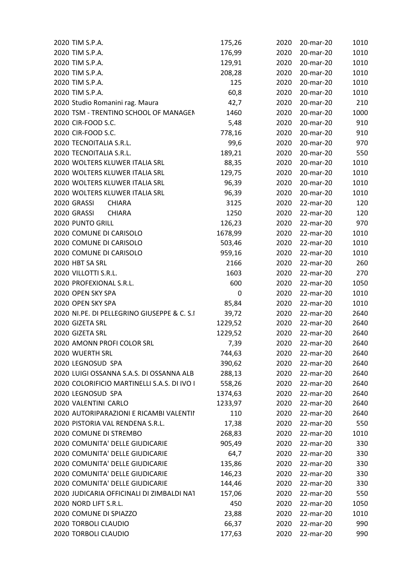| 2020 TIM S.P.A.                             | 175,26  | 2020 | 20-mar-20 | 1010 |
|---------------------------------------------|---------|------|-----------|------|
| 2020 TIM S.P.A.                             | 176,99  | 2020 | 20-mar-20 | 1010 |
| 2020 TIM S.P.A.                             | 129,91  | 2020 | 20-mar-20 | 1010 |
| 2020 TIM S.P.A.                             | 208,28  | 2020 | 20-mar-20 | 1010 |
| 2020 TIM S.P.A.                             | 125     | 2020 | 20-mar-20 | 1010 |
| 2020 TIM S.P.A.                             | 60,8    | 2020 | 20-mar-20 | 1010 |
| 2020 Studio Romanini rag. Maura             | 42,7    | 2020 | 20-mar-20 | 210  |
| 2020 TSM - TRENTINO SCHOOL OF MANAGEN       | 1460    | 2020 | 20-mar-20 | 1000 |
| 2020 CIR-FOOD S.C.                          | 5,48    | 2020 | 20-mar-20 | 910  |
| 2020 CIR-FOOD S.C.                          | 778,16  | 2020 | 20-mar-20 | 910  |
| 2020 TECNOITALIA S.R.L.                     | 99,6    | 2020 | 20-mar-20 | 970  |
| 2020 TECNOITALIA S.R.L.                     | 189,21  | 2020 | 20-mar-20 | 550  |
| 2020 WOLTERS KLUWER ITALIA SRL              | 88,35   | 2020 | 20-mar-20 | 1010 |
| 2020 WOLTERS KLUWER ITALIA SRL              | 129,75  | 2020 | 20-mar-20 | 1010 |
| 2020 WOLTERS KLUWER ITALIA SRL              | 96,39   | 2020 | 20-mar-20 | 1010 |
| 2020 WOLTERS KLUWER ITALIA SRL              | 96,39   | 2020 | 20-mar-20 | 1010 |
| 2020 GRASSI<br><b>CHIARA</b>                | 3125    | 2020 | 22-mar-20 | 120  |
| 2020 GRASSI<br><b>CHIARA</b>                | 1250    | 2020 | 22-mar-20 | 120  |
| 2020 PUNTO GRILL                            | 126,23  | 2020 | 22-mar-20 | 970  |
| 2020 COMUNE DI CARISOLO                     | 1678,99 | 2020 | 22-mar-20 | 1010 |
| 2020 COMUNE DI CARISOLO                     | 503,46  | 2020 | 22-mar-20 | 1010 |
| 2020 COMUNE DI CARISOLO                     | 959,16  | 2020 | 22-mar-20 | 1010 |
| 2020 HBT SA SRL                             | 2166    | 2020 | 22-mar-20 | 260  |
| 2020 VILLOTTI S.R.L.                        | 1603    | 2020 | 22-mar-20 | 270  |
| 2020 PROFEXIONAL S.R.L.                     | 600     | 2020 | 22-mar-20 | 1050 |
| 2020 OPEN SKY SPA                           | 0       | 2020 | 22-mar-20 | 1010 |
| 2020 OPEN SKY SPA                           | 85,84   | 2020 | 22-mar-20 | 1010 |
| 2020 NI.PE. DI PELLEGRINO GIUSEPPE & C. S.I | 39,72   | 2020 | 22-mar-20 | 2640 |
| 2020 GIZETA SRL                             | 1229,52 | 2020 | 22-mar-20 | 2640 |
| 2020 GIZETA SRL                             | 1229,52 | 2020 | 22-mar-20 | 2640 |
| 2020 AMONN PROFI COLOR SRL                  | 7,39    | 2020 | 22-mar-20 | 2640 |
| 2020 WUERTH SRL                             | 744,63  | 2020 | 22-mar-20 | 2640 |
| 2020 LEGNOSUD SPA                           | 390,62  | 2020 | 22-mar-20 | 2640 |
| 2020 LUIGI OSSANNA S.A.S. DI OSSANNA ALBI   | 288,13  | 2020 | 22-mar-20 | 2640 |
| 2020 COLORIFICIO MARTINELLI S.A.S. DI IVO I | 558,26  | 2020 | 22-mar-20 | 2640 |
| 2020 LEGNOSUD SPA                           | 1374,63 | 2020 | 22-mar-20 | 2640 |
| 2020 VALENTINI CARLO                        | 1233,97 | 2020 | 22-mar-20 | 2640 |
| 2020 AUTORIPARAZIONI E RICAMBI VALENTII     | 110     | 2020 | 22-mar-20 | 2640 |
| 2020 PISTORIA VAL RENDENA S.R.L.            | 17,38   | 2020 | 22-mar-20 | 550  |
| 2020 COMUNE DI STREMBO                      | 268,83  | 2020 | 22-mar-20 | 1010 |
| 2020 COMUNITA' DELLE GIUDICARIE             | 905,49  | 2020 | 22-mar-20 | 330  |
| 2020 COMUNITA' DELLE GIUDICARIE             | 64,7    | 2020 | 22-mar-20 | 330  |
| 2020 COMUNITA' DELLE GIUDICARIE             | 135,86  | 2020 | 22-mar-20 | 330  |
| 2020 COMUNITA' DELLE GIUDICARIE             | 146,23  | 2020 | 22-mar-20 | 330  |
| 2020 COMUNITA' DELLE GIUDICARIE             | 144,46  | 2020 | 22-mar-20 | 330  |
| 2020 JUDICARIA OFFICINALI DI ZIMBALDI NAT   | 157,06  | 2020 | 22-mar-20 | 550  |
| 2020 NORD LIFT S.R.L.                       | 450     | 2020 | 22-mar-20 | 1050 |
| 2020 COMUNE DI SPIAZZO                      | 23,88   | 2020 | 22-mar-20 | 1010 |
| 2020 TORBOLI CLAUDIO                        | 66,37   | 2020 | 22-mar-20 | 990  |
| 2020 TORBOLI CLAUDIO                        |         | 2020 | 22-mar-20 |      |
|                                             | 177,63  |      |           | 990  |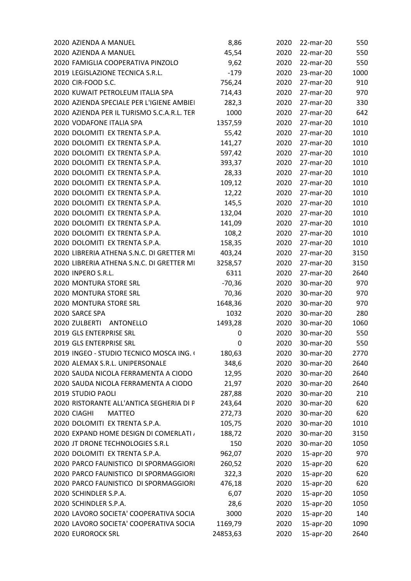| 2020 AZIENDA A MANUEL                      | 8,86     | 2020 | 22-mar-20 | 550  |
|--------------------------------------------|----------|------|-----------|------|
| 2020 AZIENDA A MANUEL                      | 45,54    | 2020 | 22-mar-20 | 550  |
| 2020 FAMIGLIA COOPERATIVA PINZOLO          | 9,62     | 2020 | 22-mar-20 | 550  |
| 2019 LEGISLAZIONE TECNICA S.R.L.           | $-179$   | 2020 | 23-mar-20 | 1000 |
| 2020 CIR-FOOD S.C.                         | 756,24   | 2020 | 27-mar-20 | 910  |
| 2020 KUWAIT PETROLEUM ITALIA SPA           | 714,43   | 2020 | 27-mar-20 | 970  |
| 2020 AZIENDA SPECIALE PER L'IGIENE AMBIEI  | 282,3    | 2020 | 27-mar-20 | 330  |
| 2020 AZIENDA PER IL TURISMO S.C.A.R.L. TER | 1000     | 2020 | 27-mar-20 | 642  |
| 2020 VODAFONE ITALIA SPA                   | 1357,59  | 2020 | 27-mar-20 | 1010 |
| 2020 DOLOMITI EX TRENTA S.P.A.             | 55,42    | 2020 | 27-mar-20 | 1010 |
| 2020 DOLOMITI EX TRENTA S.P.A.             | 141,27   | 2020 | 27-mar-20 | 1010 |
| 2020 DOLOMITI EX TRENTA S.P.A.             | 597,42   | 2020 | 27-mar-20 | 1010 |
| 2020 DOLOMITI EX TRENTA S.P.A.             | 393,37   | 2020 | 27-mar-20 | 1010 |
| 2020 DOLOMITI EX TRENTA S.P.A.             | 28,33    | 2020 | 27-mar-20 | 1010 |
| 2020 DOLOMITI EX TRENTA S.P.A.             | 109,12   | 2020 | 27-mar-20 | 1010 |
| 2020 DOLOMITI EX TRENTA S.P.A.             | 12,22    | 2020 | 27-mar-20 | 1010 |
| 2020 DOLOMITI EX TRENTA S.P.A.             | 145,5    | 2020 | 27-mar-20 | 1010 |
| 2020 DOLOMITI EX TRENTA S.P.A.             | 132,04   | 2020 | 27-mar-20 | 1010 |
| 2020 DOLOMITI EX TRENTA S.P.A.             | 141,09   | 2020 | 27-mar-20 | 1010 |
| 2020 DOLOMITI EX TRENTA S.P.A.             | 108,2    | 2020 | 27-mar-20 | 1010 |
| 2020 DOLOMITI EX TRENTA S.P.A.             | 158,35   | 2020 | 27-mar-20 | 1010 |
| 2020 LIBRERIA ATHENA S.N.C. DI GRETTER MI  | 403,24   | 2020 | 27-mar-20 | 3150 |
| 2020 LIBRERIA ATHENA S.N.C. DI GRETTER MI  | 3258,57  | 2020 | 27-mar-20 | 3150 |
| 2020 INPERO S.R.L.                         | 6311     | 2020 | 27-mar-20 | 2640 |
| 2020 MONTURA STORE SRL                     | $-70,36$ | 2020 | 30-mar-20 | 970  |
| 2020 MONTURA STORE SRL                     | 70,36    | 2020 | 30-mar-20 | 970  |
| 2020 MONTURA STORE SRL                     | 1648,36  | 2020 | 30-mar-20 | 970  |
| 2020 SARCE SPA                             | 1032     | 2020 | 30-mar-20 | 280  |
| 2020 ZULBERTI ANTONELLO                    |          | 2020 |           | 1060 |
|                                            | 1493,28  |      | 30-mar-20 |      |
| 2019 GLS ENTERPRISE SRL                    | 0        | 2020 | 30-mar-20 | 550  |
| 2019 GLS ENTERPRISE SRL                    | 0        | 2020 | 30-mar-20 | 550  |
| 2019 INGEO - STUDIO TECNICO MOSCA ING. (   | 180,63   | 2020 | 30-mar-20 | 2770 |
| 2020 ALEMAX S.R.L. UNIPERSONALE            | 348,6    | 2020 | 30-mar-20 | 2640 |
| 2020 SAUDA NICOLA FERRAMENTA A CIODO       | 12,95    | 2020 | 30-mar-20 | 2640 |
| 2020 SAUDA NICOLA FERRAMENTA A CIODO       | 21,97    | 2020 | 30-mar-20 | 2640 |
| 2019 STUDIO PAOLI                          | 287,88   | 2020 | 30-mar-20 | 210  |
| 2020 RISTORANTE ALL'ANTICA SEGHERIA DI P   | 243,64   | 2020 | 30-mar-20 | 620  |
| 2020 CIAGHI<br><b>MATTEO</b>               | 272,73   | 2020 | 30-mar-20 | 620  |
| 2020 DOLOMITI EX TRENTA S.P.A.             | 105,75   | 2020 | 30-mar-20 | 1010 |
| 2020 EXPAND HOME DESIGN DI COMERLATI /     | 188,72   | 2020 | 30-mar-20 | 3150 |
| 2020 JT DRONE TECHNOLOGIES S.R.L           | 150      | 2020 | 30-mar-20 | 1050 |
| 2020 DOLOMITI EX TRENTA S.P.A.             | 962,07   | 2020 | 15-apr-20 | 970  |
| 2020 PARCO FAUNISTICO DI SPORMAGGIORI      | 260,52   | 2020 | 15-apr-20 | 620  |
| 2020 PARCO FAUNISTICO DI SPORMAGGIORI      | 322,3    | 2020 | 15-apr-20 | 620  |
| 2020 PARCO FAUNISTICO DI SPORMAGGIORI      | 476,18   | 2020 | 15-apr-20 | 620  |
| 2020 SCHINDLER S.P.A.                      | 6,07     | 2020 | 15-apr-20 | 1050 |
| 2020 SCHINDLER S.P.A.                      | 28,6     | 2020 | 15-apr-20 | 1050 |
| 2020 LAVORO SOCIETA' COOPERATIVA SOCIA     | 3000     | 2020 | 15-apr-20 | 140  |
| 2020 LAVORO SOCIETA' COOPERATIVA SOCIA     | 1169,79  | 2020 | 15-apr-20 | 1090 |
| <b>2020 EUROROCK SRL</b>                   | 24853,63 | 2020 | 15-apr-20 | 2640 |